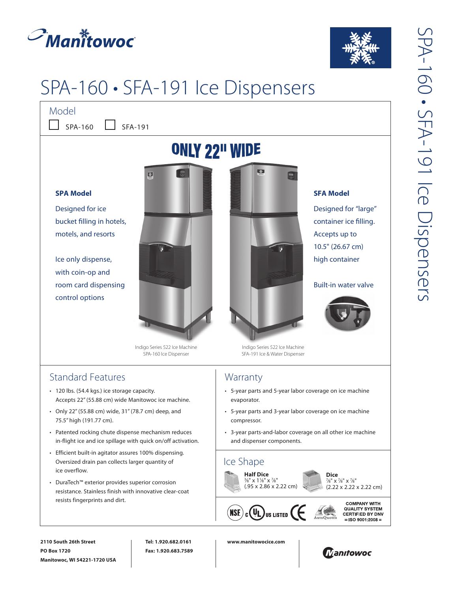



**SFA Model**

Accepts up to 10.5" (26.67 cm) high container

Designed for "large" container ice filling.

Built-in water valve

# SPA-160 • SFA-191 Ice Dispensers

Model

 $SPA-160$  SFA-191

## **ONLY 22" WIDE**

#### **SPA Model**

Designed for ice bucket filling in hotels, motels, and resorts

Ice only dispense, with coin-op and room card dispensing control options



Indigo Series 522 Ice Machine SPA-160 Ice Dispenser

## Standard Features

- 120 lbs. (54.4 kgs.) ice storage capacity. Accepts 22" (55.88 cm) wide Manitowoc ice machine.
- Only 22" (55.88 cm) wide, 31" (78.7 cm) deep, and 75.5" high (191.77 cm).
- Patented rocking chute dispense mechanism reduces in-flight ice and ice spillage with quick on/off activation.
- Efficient built-in agitator assures 100% dispensing. Oversized drain pan collects larger quantity of ice overflow.
- DuraTech™ exterior provides superior corrosion resistance. Stainless finish with innovative clear-coat resists fingerprints and dirt.



Indigo Series 522 Ice Machine SFA-191 Ice & Water Dispenser

## **Warranty**

- 5-year parts and 5-year labor coverage on ice machine evaporator.
- 5-year parts and 3-year labor coverage on ice machine compressor.
- 3-year parts-and-labor coverage on all other ice machine and dispenser components.



**2110 South 26th Street PO Box 1720 Manitowoc, WI 54221-1720 USA**

**Tel: 1.920.682.0161 Fax: 1.920.683.7589** **www.manitowocice.com**